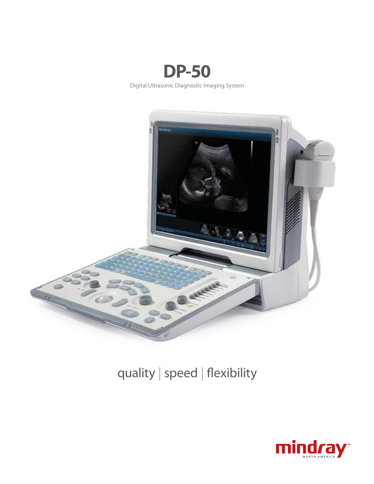



## quality | speed | flexibility

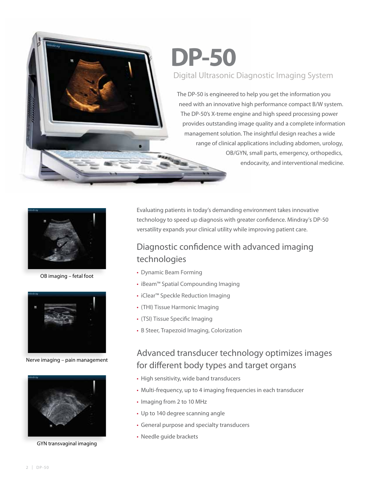# **DP-50** Digital Ultrasonic Diagnostic Imaging System

The DP-50 is engineered to help you get the information you need with an innovative high performance compact B/W system. The DP-50's X-treme engine and high speed processing power provides outstanding image quality and a complete information management solution. The insightful design reaches a wide range of clinical applications including abdomen, urology, OB/GYN, small parts, emergency, orthopedics, endocavity, and interventional medicine.



OB imaging – fetal foot



Nerve imaging – pain management



GYN transvaginal imaging

Evaluating patients in today's demanding environment takes innovative technology to speed up diagnosis with greater confidence. Mindray's DP-50 versatility expands your clinical utility while improving patient care.

## Diagnostic confidence with advanced imaging technologies

- Dynamic Beam Forming
- iBeam™ Spatial Compounding Imaging
- iClear<sup>™</sup> Speckle Reduction Imaging
- (THI) Tissue Harmonic Imaging
- (TSI) Tissue Specific Imaging
- B Steer, Trapezoid Imaging, Colorization

## Advanced transducer technology optimizes images for different body types and target organs

- High sensitivity, wide band transducers
- Multi-frequency, up to 4 imaging frequencies in each transducer
- Imaging from 2 to 10 MHz
- Up to 140 degree scanning angle
- General purpose and specialty transducers
- Needle guide brackets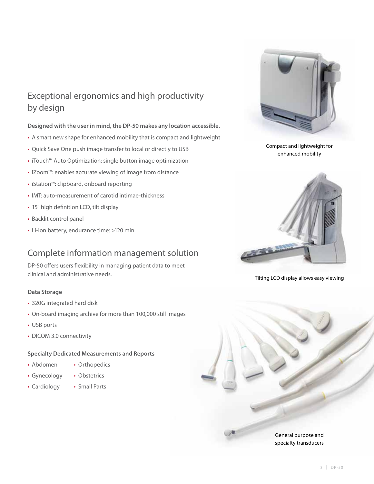## Exceptional ergonomics and high productivity by design

#### **Designed with the user in mind, the DP-50 makes any location accessible.**

- A smart new shape for enhanced mobility that is compact and lightweight
- Quick Save One push image transfer to local or directly to USB
- iTouch™ Auto Optimization: single button image optimization
- iZoom™: enables accurate viewing of image from distance
- iStation™: clipboard, onboard reporting
- IMT: auto-measurement of carotid intimae-thickness
- 15" high definition LCD, tilt display
- Backlit control panel
- Li-ion battery, endurance time: >120 min

## Complete information management solution

DP-50 offers users flexibility in managing patient data to meet clinical and administrative needs.

#### **Data Storage**

- 320G integrated hard disk
- On-board imaging archive for more than 100,000 still images
- USB ports
- DICOM 3.0 connectivity

#### **Specialty Dedicated Measurements and Reports**

- Abdomen Orthopedics
- Gynecology Obstetrics
- Cardiology Small Parts
	-



Compact and lightweight for enhanced mobility



Tilting LCD display allows easy viewing